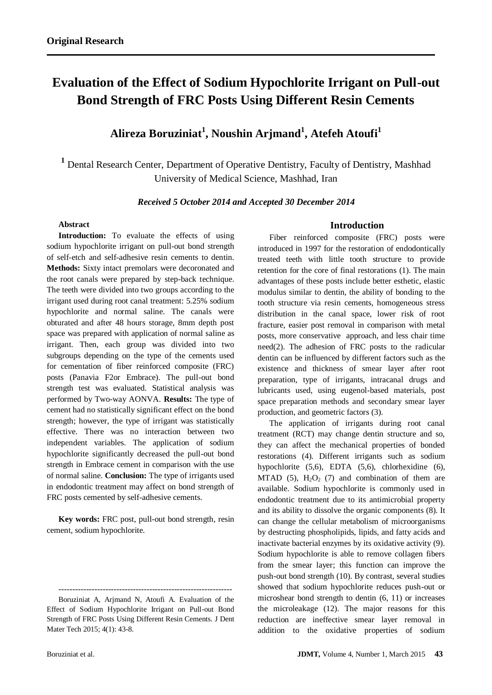# **Evaluation of the Effect of Sodium Hypochlorite Irrigant on Pull-out Bond Strength of FRC Posts Using Different Resin Cements**

# **Alireza Boruziniat<sup>1</sup> , Noushin Arjmand<sup>1</sup> , Atefeh Atoufi<sup>1</sup>**

**<sup>1</sup>** Dental Research Center, Department of Operative Dentistry, Faculty of Dentistry, Mashhad University of Medical Science, Mashhad, Iran

#### *Received 5 October 2014 and Accepted 30 December 2014*

# **Abstract**

**Introduction:** To evaluate the effects of using sodium hypochlorite irrigant on pull-out bond strength of self-etch and self-adhesive resin cements to dentin. **Methods:** Sixty intact premolars were decoronated and the root canals were prepared by step-back technique. The teeth were divided into two groups according to the irrigant used during root canal treatment: 5.25% sodium hypochlorite and normal saline. The canals were obturated and after 48 hours storage, 8mm depth post space was prepared with application of normal saline as irrigant. Then, each group was divided into two subgroups depending on the type of the cements used for cementation of fiber reinforced composite (FRC) posts (Panavia F2or Embrace). The pull-out bond strength test was evaluated. Statistical analysis was performed by Two-way AONVA. **Results:** The type of cement had no statistically significant effect on the bond strength; however, the type of irrigant was statistically effective. There was no interaction between two independent variables. The application of sodium hypochlorite significantly decreased the pull-out bond strength in Embrace cement in comparison with the use of normal saline. **Conclusion:** The type of irrigants used in endodontic treatment may affect on bond strength of FRC posts cemented by self-adhesive cements.

**Key words:** FRC post, pull-out bond strength, resin cement, sodium hypochlorite.

---------------------------------------------------------------

# **Introduction**

Fiber reinforced composite (FRC) posts were introduced in 1997 for the restoration of endodontically treated teeth with little tooth structure to provide retention for the core of final restorations (1). The main advantages of these posts include better esthetic, elastic modulus similar to dentin, the ability of bonding to the tooth structure via resin cements, homogeneous stress distribution in the canal space, lower risk of root fracture, easier post removal in comparison with metal posts, more conservative approach, and less chair time need(2). The adhesion of FRC posts to the radicular dentin can be influenced by different factors such as the existence and thickness of smear layer after root preparation, type of irrigants, intracanal drugs and lubricants used, using eugenol-based materials, post space preparation methods and secondary smear layer production, and geometric factors (3).

The application of irrigants during root canal treatment (RCT) may change dentin structure and so, they can affect the mechanical properties of bonded restorations (4). Different irrigants such as sodium hypochlorite (5,6), EDTA (5,6), chlorhexidine (6), MTAD (5),  $H_2O_2$  (7) and combination of them are available. Sodium hypochlorite is commonly used in endodontic treatment due to its antimicrobial property and its ability to dissolve the organic components (8). It can change the cellular metabolism of microorganisms by destructing phospholipids, lipids, and fatty acids and inactivate bacterial enzymes by its oxidative activity (9). Sodium hypochlorite is able to remove collagen fibers from the smear layer; this function can improve the push-out bond strength (10). By contrast, several studies showed that sodium hypochlorite reduces push-out or microshear bond strength to dentin (6, 11) or increases the microleakage (12). The major reasons for this reduction are ineffective smear layer removal in addition to the oxidative properties of sodium

Boruziniat A, Arjmand N, Atoufi A. Evaluation of the Effect of Sodium Hypochlorite Irrigant on Pull-out Bond Strength of FRC Posts Using Different Resin Cements. J Dent Mater Tech 2015; 4(1): 43-8.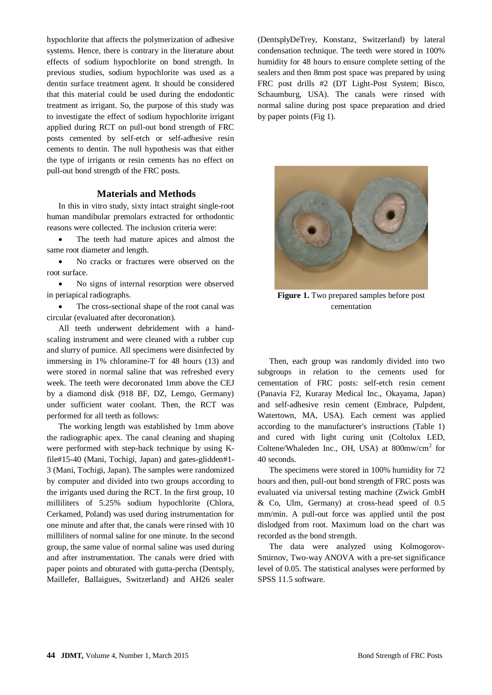hypochlorite that affects the polymerization of adhesive systems. Hence, there is contrary in the literature about effects of sodium hypochlorite on bond strength. In previous studies, sodium hypochlorite was used as a dentin surface treatment agent. It should be considered that this material could be used during the endodontic treatment as irrigant. So, the purpose of this study was to investigate the effect of sodium hypochlorite irrigant applied during RCT on pull-out bond strength of FRC posts cemented by self-etch or self-adhesive resin cements to dentin. The null hypothesis was that either the type of irrigants or resin cements has no effect on pull-out bond strength of the FRC posts.

#### **Materials and Methods**

In this in vitro study, sixty intact straight single-root human mandibular premolars extracted for orthodontic reasons were collected. The inclusion criteria were:

 The teeth had mature apices and almost the same root diameter and length.

• No cracks or fractures were observed on the root surface.

 No signs of internal resorption were observed in periapical radiographs.

 The cross-sectional shape of the root canal was circular (evaluated after decoronation).

All teeth underwent debridement with a handscaling instrument and were cleaned with a rubber cup and slurry of pumice. All specimens were disinfected by immersing in 1% chloramine-T for 48 hours (13) and were stored in normal saline that was refreshed every week. The teeth were decoronated 1mm above the CEJ by a diamond disk (918 BF, DZ, Lemgo, Germany) under sufficient water coolant. Then, the RCT was performed for all teeth as follows:

The working length was established by 1mm above the radiographic apex. The canal cleaning and shaping were performed with step-back technique by using Kfile#15-40 (Mani, Tochigi, Japan) and gates-glidden#1- 3 (Mani, Tochigi, Japan). The samples were randomized by computer and divided into two groups according to the irrigants used during the RCT. In the first group, 10 milliliters of 5.25% sodium hypochlorite (Chlora, Cerkamed, Poland) was used during instrumentation for one minute and after that, the canals were rinsed with 10 milliliters of normal saline for one minute. In the second group, the same value of normal saline was used during and after instrumentation. The canals were dried with paper points and obturated with gutta-percha (Dentsply, Maillefer, Ballaigues, Switzerland) and AH26 sealer

(DentsplyDeTrey, Konstanz, Switzerland) by lateral condensation technique. The teeth were stored in 100% humidity for 48 hours to ensure complete setting of the sealers and then 8mm post space was prepared by using FRC post drills #2 (DT Light-Post System; Bisco, Schaumburg, USA). The canals were rinsed with normal saline during post space preparation and dried by paper points (Fig 1).



**Figure 1.** Two prepared samples before post cementation

Then, each group was randomly divided into two subgroups in relation to the cements used for cementation of FRC posts: self-etch resin cement (Panavia F2, Kuraray Medical Inc., Okayama, Japan) and self-adhesive resin cement (Embrace, Pulpdent, Watertown, MA, USA). Each cement was applied according to the manufacturer's instructions (Table 1) and cured with light curing unit (Coltolux LED, Coltene/Whaleden Inc., OH, USA) at 800mw/cm<sup>2</sup> for 40 seconds.

The specimens were stored in 100% humidity for 72 hours and then, pull-out bond strength of FRC posts was evaluated via universal testing machine (Zwick GmbH & Co, Ulm, Germany) at cross-head speed of 0.5 mm/min. A pull-out force was applied until the post dislodged from root. Maximum load on the chart was recorded as the bond strength.

The data were analyzed using Kolmogorov-Smirnov, Two-way ANOVA with a pre-set significance level of 0.05. The statistical analyses were performed by SPSS 11.5 software.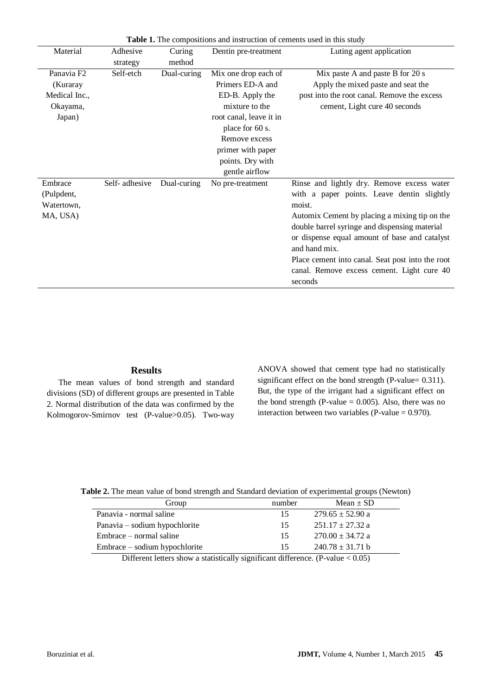| Material               | Adhesive      | <b>Table 1.</b> The compositions and moduction of cements asca in this study<br>Curing<br>Dentin pre-treatment<br>Luting agent application |                         |                                                  |
|------------------------|---------------|--------------------------------------------------------------------------------------------------------------------------------------------|-------------------------|--------------------------------------------------|
|                        |               |                                                                                                                                            |                         |                                                  |
|                        | strategy      | method                                                                                                                                     |                         |                                                  |
| Panavia F <sub>2</sub> | Self-etch     | Dual-curing                                                                                                                                | Mix one drop each of    | Mix paste A and paste B for 20 s                 |
| (Kuraray               |               |                                                                                                                                            | Primers ED-A and        | Apply the mixed paste and seat the               |
| Medical Inc.,          |               |                                                                                                                                            | ED-B. Apply the         | post into the root canal. Remove the excess      |
| Okayama,               |               |                                                                                                                                            | mixture to the          | cement, Light cure 40 seconds                    |
| Japan)                 |               |                                                                                                                                            | root canal, leave it in |                                                  |
|                        |               |                                                                                                                                            | place for 60 s.         |                                                  |
|                        |               |                                                                                                                                            | Remove excess           |                                                  |
|                        |               |                                                                                                                                            | primer with paper       |                                                  |
|                        |               |                                                                                                                                            | points. Dry with        |                                                  |
|                        |               |                                                                                                                                            | gentle airflow          |                                                  |
| Embrace                | Self-adhesive | Dual-curing                                                                                                                                | No pre-treatment        | Rinse and lightly dry. Remove excess water       |
| (Pulpdent,             |               |                                                                                                                                            |                         | with a paper points. Leave dentin slightly       |
| Watertown,             |               |                                                                                                                                            |                         | moist.                                           |
| MA, USA)               |               |                                                                                                                                            |                         | Automix Cement by placing a mixing tip on the    |
|                        |               |                                                                                                                                            |                         | double barrel syringe and dispensing material    |
|                        |               |                                                                                                                                            |                         | or dispense equal amount of base and catalyst    |
|                        |               |                                                                                                                                            |                         | and hand mix.                                    |
|                        |               |                                                                                                                                            |                         | Place cement into canal. Seat post into the root |
|                        |               |                                                                                                                                            |                         | canal. Remove excess cement. Light cure 40       |
|                        |               |                                                                                                                                            |                         | seconds                                          |

**Table 1.** The compositions and instruction of cements used in this study

# **Results**

The mean values of bond strength and standard divisions (SD) of different groups are presented in Table 2. Normal distribution of the data was confirmed by the Kolmogorov-Smirnov test (P-value>0.05). Two-way ANOVA showed that cement type had no statistically significant effect on the bond strength (P-value= 0.311). But, the type of the irrigant had a significant effect on the bond strength (P-value  $= 0.005$ ). Also, there was no interaction between two variables (P-value  $= 0.970$ ).

| Table 2. The mean value of bond strength and Standard deviation of experimental groups (Newton) |  |
|-------------------------------------------------------------------------------------------------|--|
|                                                                                                 |  |

| Group                         | number | Mean $\pm$ SD        |
|-------------------------------|--------|----------------------|
| Panavia - normal saline       | 15     | $279.65 \pm 52.90$ a |
| Panavia – sodium hypochlorite | 15     | $251.17 \pm 27.32$ a |
| Embrace – normal saline       | 15     | $270.00 \pm 34.72$ a |
| Embrace – sodium hypochlorite | 15     | $240.78 \pm 31.71$ b |

Different letters show a statistically significant difference. (P-value < 0.05)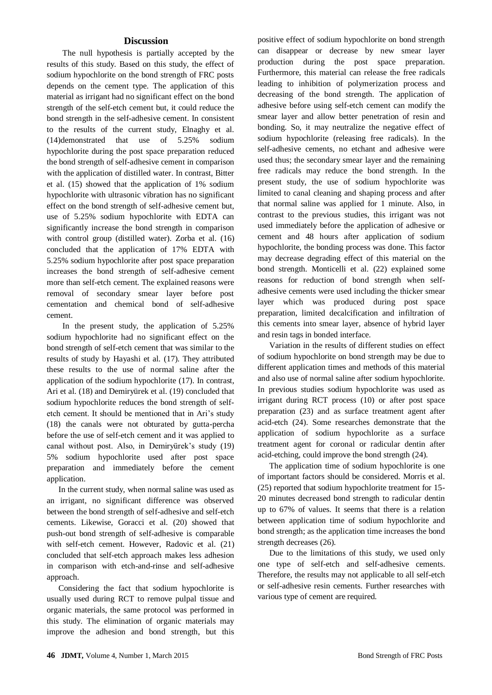# **Discussion**

 The null hypothesis is partially accepted by the results of this study. Based on this study, the effect of sodium hypochlorite on the bond strength of FRC posts depends on the cement type. The application of this material as irrigant had no significant effect on the bond strength of the self-etch cement but, it could reduce the bond strength in the self-adhesive cement. In consistent to the results of the current study, Elnaghy et al. (14)demonstrated that use of 5.25% sodium hypochlorite during the post space preparation reduced the bond strength of self-adhesive cement in comparison with the application of distilled water. In contrast, Bitter et al. (15) showed that the application of 1% sodium hypochlorite with ultrasonic vibration has no significant effect on the bond strength of self-adhesive cement but, use of 5.25% sodium hypochlorite with EDTA can significantly increase the bond strength in comparison with control group (distilled water). Zorba et al. (16) concluded that the application of 17% EDTA with 5.25% sodium hypochlorite after post space preparation increases the bond strength of self-adhesive cement more than self-etch cement. The explained reasons were removal of secondary smear layer before post cementation and chemical bond of self-adhesive cement.

 In the present study, the application of 5.25% sodium hypochlorite had no significant effect on the bond strength of self-etch cement that was similar to the results of study by Hayashi et al. (17). They attributed these results to the use of normal saline after the application of the sodium hypochlorite (17). In contrast, Ari et al. (18) and Demiryürek et al. (19) concluded that sodium hypochlorite reduces the bond strength of selfetch cement. It should be mentioned that in Ari's study (18) the canals were not obturated by gutta-percha before the use of self-etch cement and it was applied to canal without post. Also, in Demiryürek's study (19) 5% sodium hypochlorite used after post space preparation and immediately before the cement application.

In the current study, when normal saline was used as an irrigant, no significant difference was observed between the bond strength of self-adhesive and self-etch cements. Likewise, Goracci et al. (20) showed that push-out bond strength of self-adhesive is comparable with self-etch cement. However, Radovic et al. (21) concluded that self-etch approach makes less adhesion in comparison with etch-and-rinse and self-adhesive approach.

Considering the fact that sodium hypochlorite is usually used during RCT to remove pulpal tissue and organic materials, the same protocol was performed in this study. The elimination of organic materials may improve the adhesion and bond strength, but this positive effect of sodium hypochlorite on bond strength can disappear or decrease by new smear layer production during the post space preparation. Furthermore, this material can release the free radicals leading to inhibition of polymerization process and decreasing of the bond strength. The application of adhesive before using self-etch cement can modify the smear layer and allow better penetration of resin and bonding. So, it may neutralize the negative effect of sodium hypochlorite (releasing free radicals). In the self-adhesive cements, no etchant and adhesive were used thus; the secondary smear layer and the remaining free radicals may reduce the bond strength. In the present study, the use of sodium hypochlorite was limited to canal cleaning and shaping process and after that normal saline was applied for 1 minute. Also, in contrast to the previous studies, this irrigant was not used immediately before the application of adhesive or cement and 48 hours after application of sodium hypochlorite, the bonding process was done. This factor may decrease degrading effect of this material on the bond strength. Monticelli et al. (22) explained some reasons for reduction of bond strength when selfadhesive cements were used including the thicker smear layer which was produced during post space preparation, limited decalcification and infiltration of this cements into smear layer, absence of hybrid layer and resin tags in bonded interface.

Variation in the results of different studies on effect of sodium hypochlorite on bond strength may be due to different application times and methods of this material and also use of normal saline after sodium hypochlorite. In previous studies sodium hypochlorite was used as irrigant during RCT process (10) or after post space preparation (23) and as surface treatment agent after acid-etch (24). Some researches demonstrate that the application of sodium hypochlorite as a surface treatment agent for coronal or radicular dentin after acid-etching, could improve the bond strength (24).

The application time of sodium hypochlorite is one of important factors should be considered. Morris et al. (25) reported that sodium hypochlorite treatment for 15- 20 minutes decreased bond strength to radicular dentin up to 67% of values. It seems that there is a relation between application time of sodium hypochlorite and bond strength; as the application time increases the bond strength decreases (26).

Due to the limitations of this study, we used only one type of self-etch and self-adhesive cements. Therefore, the results may not applicable to all self-etch or self-adhesive resin cements. Further researches with various type of cement are required.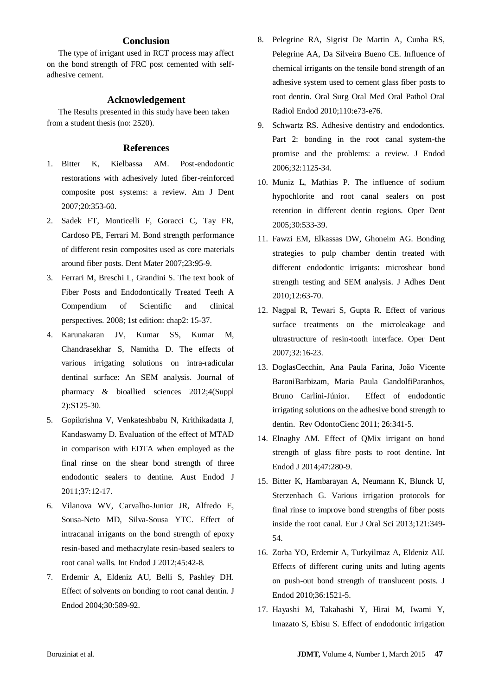# **Conclusion**

The type of irrigant used in RCT process may affect on the bond strength of FRC post cemented with selfadhesive cement.

#### **Acknowledgement**

The Results presented in this study have been taken from a student thesis (no: 2520).

#### **References**

- 1. Bitter K, Kielbassa AM. Post-endodontic restorations with adhesively luted fiber-reinforced composite post systems: a review. Am J Dent 2007;20:353-60.
- 2. Sadek FT, Monticelli F, Goracci C, Tay FR, Cardoso PE, Ferrari M. Bond strength performance of different resin composites used as core materials around fiber posts. Dent Mater 2007;23:95-9.
- 3. Ferrari M, Breschi L, Grandini S. The text book of Fiber Posts and Endodontically Treated Teeth A Compendium of Scientific and clinical perspectives. 2008; 1st edition: chap2: 15-37.
- 4. Karunakaran JV, Kumar SS, Kumar M, Chandrasekhar S, Namitha D. The effects of various irrigating solutions on intra-radicular dentinal surface: An SEM analysis. Journal of pharmacy & bioallied sciences 2012;4(Suppl 2):S125-30.
- 5. Gopikrishna V, Venkateshbabu N, Krithikadatta J, Kandaswamy D. Evaluation of the effect of MTAD in comparison with EDTA when employed as the final rinse on the shear bond strength of three endodontic sealers to dentine. Aust Endod J 2011;37:12-17.
- 6. Vilanova WV, Carvalho-Junior JR, Alfredo E, Sousa-Neto MD, Silva-Sousa YTC. Effect of intracanal irrigants on the bond strength of epoxy resin-based and methacrylate resin-based sealers to root canal walls. Int Endod J 2012;45:42-8.
- 7. Erdemir A, Eldeniz AU, Belli S, Pashley DH. Effect of solvents on bonding to root canal dentin. J Endod 2004;30:589-92.
- 8. Pelegrine RA, Sigrist De Martin A, Cunha RS, Pelegrine AA, Da Silveira Bueno CE. Influence of chemical irrigants on the tensile bond strength of an adhesive system used to cement glass fiber posts to root dentin. Oral Surg Oral Med Oral Pathol Oral Radiol Endod 2010;110:e73-e76.
- 9. Schwartz RS. Adhesive dentistry and endodontics. Part 2: bonding in the root canal system-the promise and the problems: a review. J Endod 2006;32:1125-34.
- 10. Muniz L, Mathias P. The influence of sodium hypochlorite and root canal sealers on post retention in different dentin regions. Oper Dent 2005;30:533-39.
- 11. Fawzi EM, Elkassas DW, Ghoneim AG. Bonding strategies to pulp chamber dentin treated with different endodontic irrigants: microshear bond strength testing and SEM analysis. J Adhes Dent 2010;12:63-70.
- 12. Nagpal R, Tewari S, Gupta R. Effect of various surface treatments on the microleakage and ultrastructure of resin-tooth interface. Oper Dent 2007;32:16-23.
- 13. DoglasCecchin, Ana Paula Farina, João Vicente BaroniBarbizam, Maria Paula GandolfiParanhos, Bruno Carlini-Júnior. Effect of endodontic irrigating solutions on the adhesive bond strength to dentin. Rev OdontoCienc 2011; 26:341-5.
- 14. Elnaghy AM. Effect of QMix irrigant on bond strength of glass fibre posts to root dentine. Int Endod J 2014;47:280-9.
- 15. Bitter K, Hambarayan A, Neumann K, Blunck U, Sterzenbach G. Various irrigation protocols for final rinse to improve bond strengths of fiber posts inside the root canal. Eur J Oral Sci 2013;121:349- 54.
- 16. Zorba YO, Erdemir A, Turkyilmaz A, Eldeniz AU. Effects of different curing units and luting agents on push-out bond strength of translucent posts. J Endod 2010;36:1521-5.
- 17. Hayashi M, Takahashi Y, Hirai M, Iwami Y, Imazato S, Ebisu S. Effect of endodontic irrigation